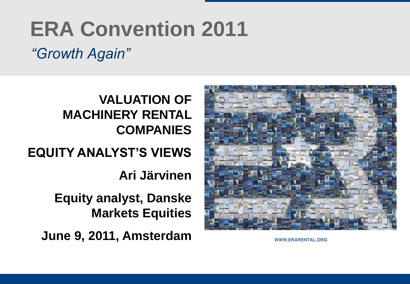# **ERA Convention 2011**

## *"Growth Again"*

## **VALUATION OF MACHINERY RENTAL COMPANIES**

## **EQUITY ANALYST'S VIEWS**

**Ari Järvinen**

**Equity analyst, Danske Markets Equities**

**June 9, 2011, Amsterdam**



WWW.ERARENTAL.ORG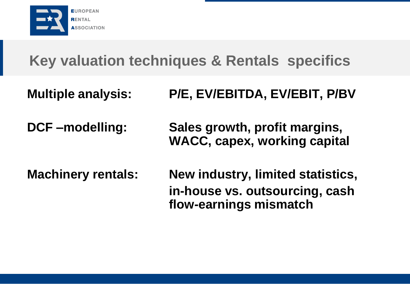

## **Key valuation techniques & Rentals specifics**

- **Multiple analysis: P/E, EV/EBITDA, EV/EBIT, P/BV**
- **DCF –modelling: Sales growth, profit margins, WACC, capex, working capital**
- **Machinery rentals: New industry, limited statistics, in-house vs. outsourcing, cash flow-earnings mismatch**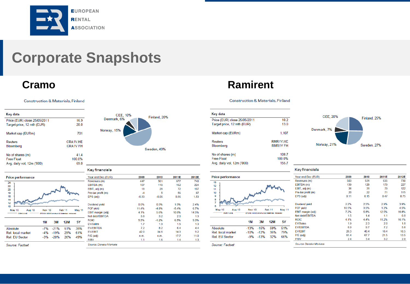

## **Corporate Snapshots**

Construction & Materials, Finland

| Key data                                                   |                                    |
|------------------------------------------------------------|------------------------------------|
| Price (EUR) close 25/05/2011<br>Target price, 12 mth (EUR) | 16.9<br>20.0                       |
| Market cap (EURm)                                          | 701                                |
| Reuters<br>Bloomberg                                       | <b>CRA1V HE</b><br><b>CRA1V FH</b> |
| No of shares (m)                                           | 414                                |
| <b>Free Float</b>                                          | 100 0%                             |
| Avg. daily vol, 12m ('000)                                 | 69 O                               |



### Key financials

| <b>Price performance</b> |           |        |                                        |           | Year end Dec (EUR)     | 2009                                                                                                                                                                                                                                                            | 2010 | 2011E | 2012E                                                                   |
|--------------------------|-----------|--------|----------------------------------------|-----------|------------------------|-----------------------------------------------------------------------------------------------------------------------------------------------------------------------------------------------------------------------------------------------------------------|------|-------|-------------------------------------------------------------------------|
| 24                       |           |        |                                        |           | Revenues (m)           | 447                                                                                                                                                                                                                                                             | 501  | 677   | 740                                                                     |
| 22                       |           |        |                                        |           | EBITDA (m)             | 107                                                                                                                                                                                                                                                             | 118  | 162   | 224                                                                     |
| 20                       |           |        |                                        |           | EBIT, adj (m)          | 18                                                                                                                                                                                                                                                              | 28   | 72    | 107                                                                     |
| 18                       |           |        |                                        |           | Pre-tax profit (m)     | $-4$                                                                                                                                                                                                                                                            | 5    | 56    | 87<br>1.53<br>2.4%<br>6.7%<br>14.5%<br>1.3<br>9.3%<br>1.3<br>4.4<br>9.2 |
| 16                       |           |        |                                        |           | EPS (adj)              | $-0.06$<br>0.96<br>$-0.33$<br>$0.0\%$<br>0.5%<br>1.5%<br>11.4%<br>$-4.8%$<br>$-5.4%$<br>4.1%<br>5.6%<br>10.6%<br>3.8<br>3.2<br>2.0<br>5.5%<br>6.5%<br>$-1.2%$<br>1.9<br>1.7<br>1.5<br>7.2<br>8.2<br>6.4<br>42.0<br>34.6<br>14.3<br>17.7<br>11.0<br>n.m.<br>n.m. |      |       |                                                                         |
| 14                       |           |        |                                        |           |                        |                                                                                                                                                                                                                                                                 |      |       |                                                                         |
| 12<br>10                 |           |        |                                        |           | <b>Dividend yield</b>  |                                                                                                                                                                                                                                                                 |      |       |                                                                         |
| May 10<br>Aug 10         | Nov 10    |        | Feb 11                                 | May 11    | <b>FCF yield</b>       |                                                                                                                                                                                                                                                                 |      |       |                                                                         |
| <b>CRAIVHE</b>           |           |        | STOXX 600/Construct& Materials rebased |           | EBIT margin (adj)      |                                                                                                                                                                                                                                                                 |      |       |                                                                         |
|                          |           |        |                                        |           | Net debt/EBITDA        |                                                                                                                                                                                                                                                                 |      |       |                                                                         |
|                          |           |        |                                        |           | <b>ROIC</b>            |                                                                                                                                                                                                                                                                 |      |       |                                                                         |
|                          | <b>1M</b> | 3M     | 12M                                    | <b>5Y</b> | <b>EV/Sales</b>        |                                                                                                                                                                                                                                                                 |      |       |                                                                         |
| Absolute                 | $-7%$     | $-21%$ | 51%                                    | 35%       | <b>EV/EBITDA</b>       |                                                                                                                                                                                                                                                                 |      |       |                                                                         |
| <b>Rel.</b> local market | $-4%$     | $-19%$ | 29%                                    | 61%       | <b>EV/EBIT</b>         |                                                                                                                                                                                                                                                                 |      |       |                                                                         |
| <b>Rel. EU Sector</b>    | $-3%$     | $-20%$ | 26%                                    | 49%       | $P/E$ (adj)            |                                                                                                                                                                                                                                                                 |      |       |                                                                         |
|                          |           |        |                                        |           | P/BV                   | 1.1                                                                                                                                                                                                                                                             | 1.6  | 1.4   | 1.3                                                                     |
| Source: Factset          |           |        |                                        |           | Source: Danske Markets |                                                                                                                                                                                                                                                                 |      |       |                                                                         |

### **Cramo Ramirent**

Construction & Materials, Finland

| Key data                     |                      |
|------------------------------|----------------------|
| Price (EUR) close 25/05/2011 | 10.2                 |
| Target price, 12 mth (EUR)   | 13.0                 |
| Market cap (EURm)            | 1,107                |
| Reuters                      | RMR <sub>1V</sub> HF |
| Bloomberg                    | <b>RMR1VFH</b>       |
| No of shares (m)             | 108.7                |
| <b>Free Float</b>            | 100.0%               |
| Avg. daily vol, 12m ('000)   | 155.7                |



### Key financials

| Year end Dec (EUR) | 2009  | 2010 | 2011E | 2012E |
|--------------------|-------|------|-------|-------|
| Revenues (m)       | 503   | 531  | 635   | 730   |
| EBITDA (m)         | 139   | 129  | 179   | 227   |
| EBIT, adj (m)      | 36    | 31   | 79    | 122   |
| Pre-tax profit (m) | 20    | 22   | 71    | 115   |
| EPS (adj)          | 0.11  | 0.15 | 0.47  | 0.75  |
| Dividend yield     | 2.2%  | 2.5% | 2.9%  | 3.9%  |
| <b>FCF vield</b>   | 10.5% | 3.5% | 1.2%  | 4.5%  |
| EBIT margin (adj)  | 7.2%  | 5.8% | 12.5% | 16.8% |
| Net debt/FBITDA    | 15    | 14   | 11    | 0.8   |
| <b>ROIC</b>        | 4.1%  | 4.4% | 11.2% | 16.1% |
| <b>FV/Sales</b>    | 1.9   | 2.3  | 2.0   | 1.8   |
| <b>EV/EBITDA</b>   | 69    | 97   | 72    | 5.6   |
| <b>EV/EBIT</b>     | 26.3  | 40.4 | 16.4  | 10.5  |
| $P/E$ (adi)        | 61.4  | 67.7 | 21.5  | 13.5  |
| P/BV               | 2.4   | 3.4  | 3.2   | 2.8   |

Rel. EU Sector Source: Factset

Rel. local market

May 10

Absolute

Price performance

 $\overline{13}$ 

 $12<sup>°</sup>$ 

11

10

Aug 10

**RMR1VHE** 

Nov 10

**1M** 

 $-13%$ 

 $-10%$ 

Feb 11

12M

59%

35%

STOXX 600/Construct& Materials rebased

 $3M$ 

 $-15%$ 

 $-12%$ 

-9% -13% 32%

May 11

**5Y** 

51%

79%

66%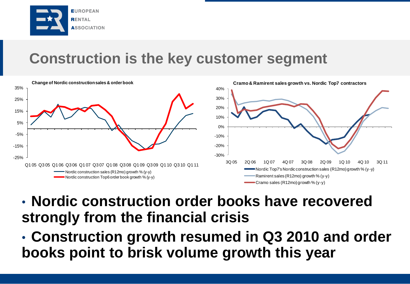

## **Construction is the key customer segment**



• **Nordic construction order books have recovered strongly from the financial crisis**

• **Construction growth resumed in Q3 2010 and order books point to brisk volume growth this year**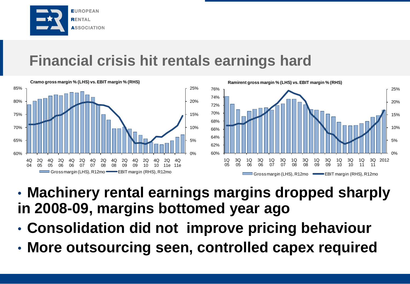

## **Financial crisis hit rentals earnings hard**



- **Machinery rental earnings margins dropped sharply in 2008-09, margins bottomed year ago**
- **Consolidation did not improve pricing behaviour**
- **More outsourcing seen, controlled capex required**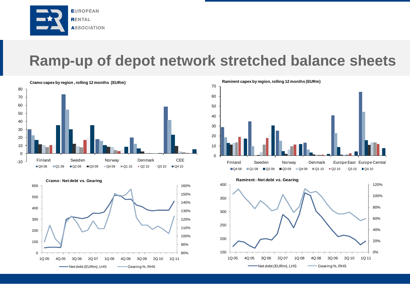

## **Ramp-up of depot network stretched balance sheets**







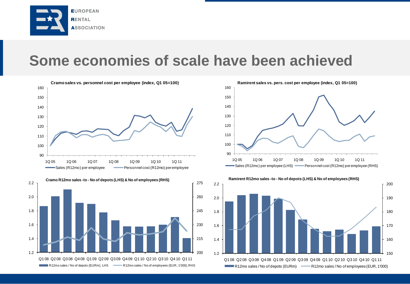

## **Some economies of scale have been achieved**







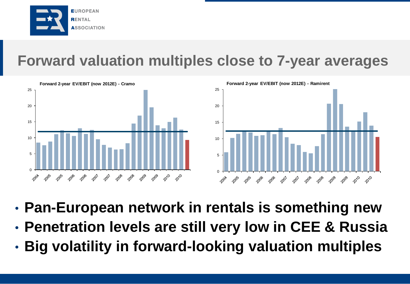

## **Forward valuation multiples close to 7-year averages**



- **Pan-European network in rentals is something new**
- **Penetration levels are still very low in CEE & Russia**
- **Big volatility in forward-looking valuation multiples**